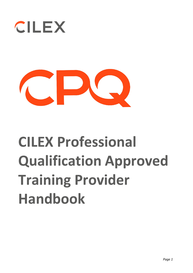



# **CILEX Professional Qualification Approved Training Provider Handbook**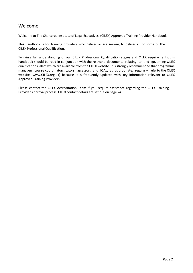# Welcome

Welcome to The Chartered Institute of Legal Executives' (CILEX) Approved Training Provider Handbook.

This handbook is for training providers who deliver or are seeking to deliver all or some of the CILEX Professional Qualification.

To gain a full understanding of our CILEX Professional Qualification stages and CILEX requirements, this handbook should be read in conjunction with the relevant documents relating to and governing CILEX qualifications, all of which are available from the CILEX website. It is strongly recommended that programme managers, course coordinators, tutors, assessors and IQAs, as appropriate, regularly referto the CILEX website (www.CILEX.org.uk) because it is frequently updated with key information relevant to CILEX Approved Training Providers.

Please contact the CILEX Accreditation Team if you require assistance regarding the CILEX Training Provider Approval process. CILEX contact details are set out on page 24.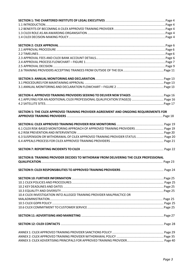| SECTION 5: THE CILEX APPROVED TRAINING PROVIDER AGREEMENT AND ONGOING REQUIREMENTS FOR  |  |
|-----------------------------------------------------------------------------------------|--|
|                                                                                         |  |
|                                                                                         |  |
|                                                                                         |  |
| 6.1 CILEX RISK-BASED MONITORING APPROACH OF APPROVED TRAINING PROVIDERS  Page 19        |  |
|                                                                                         |  |
| 6.3 SUSPENSION OR WITHDRAWAL OF CILEX APPROVED TRAINING PROVIDER STATUS Page 20         |  |
|                                                                                         |  |
|                                                                                         |  |
| SECTION 8: TRAINING PROVIDER DECIDES TO WITHDRAW FROM DELIVERING THE CILEX PROFESSIONAL |  |
|                                                                                         |  |
|                                                                                         |  |
|                                                                                         |  |
|                                                                                         |  |
|                                                                                         |  |
|                                                                                         |  |
| 10.4 CILEX INVESTIGATION INTO ALLEGED TRAINING PROVIDER MALPRACTICE OR                  |  |
|                                                                                         |  |
|                                                                                         |  |
|                                                                                         |  |
|                                                                                         |  |
|                                                                                         |  |
|                                                                                         |  |
|                                                                                         |  |
|                                                                                         |  |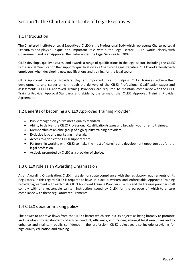# Section 1: The Chartered Institute of Legal Executives

## 1.1 Introduction

The Chartered Institute of Legal Executives (CILEX) is the Professional Body which represents Chartered Legal Executives and plays a unique and important role within the legal sector. CILEX works closely with Government and is an Approved Regulator under the Legal Services Act 2007.

CILEX develops, quality assures, and awards a range of qualifications in the legal sector, including the CILEX Professional Qualification that supports qualification as a Chartered Legal Executive. CILEX works closely with employers when developing new qualifications and training for the legal sector.

CILEX Approved Training Providers play an important role in helping CILEX trainees achieve their developmental and career aims through the delivery of the CILEX Professional Qualification stages and assessments. All CILEX Approved Training Providers are required to maintain compliance with the CILEX Training Provider Approval Standards and abide by the terms of the CILEX Approved Training Provider Agreement.

## 1.2 Benefits of becoming a CILEX Approved Training Provider

- Public recognition you've met a quality standard.
- Ability to deliver the CILEX Professional Qualification/stages and broaden your offer to trainees.
- Membership of an elite group of high-quality training providers.
- Exclusive logo and marketing materials.
- Access to a dedicated CILEX support team.
- Partnership working with CILEX to make the most of learning and development opportunities for the legal profession.
- Actively promoted by CILEX as a provider of choice.

## 1.3 CILEX role as an Awarding Organisation

As an Awarding Organisation, CILEX must demonstrate compliance with the regulatory requirements of its Regulators. In this regard, CILEX is required to have in place a written and enforceable Approved Training Provider agreement with each of its CILEX Approved Training Providers. To this end the training providershall comply with any reasonable written instruction issued by CILEX for the purpose of which to ensure compliance with these regulatory requirements.

## 1.4 CILEX decision-making policy

The power to approve flows from the CILEX Charter which sets out its objects as being broadly to promote and maintain proper standards of ethical conduct, efficiency, and training amongst legal executives and to enhance and maintain public confidence in the profession. CILEX objectives also include providing for high quality education and training.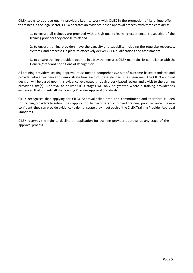CILEX seeks to approve quality providers keen to work with CILEX in the promotion of its unique offer to trainees in the legal sector. CILEX operates an evidence-based approval process, with three core aims:

1. to ensure all trainees are provided with a high-quality learning experience, irrespective of the training provider they choose to attend.

2. to ensure training providers have the capacity and capability including the requisite resources, systems, and processes in place to effectively deliver CILEX qualifications and assessments.

3. to ensure training providers operate in a way that ensures CILEX maintains its compliance with the General/Standard Conditions of Recognition.

All training providers seeking approval must meet a comprehensive set of outcome-based standards and provide detailed evidence to demonstrate how each of these standards has been met. The CILEX approval decision will be based upon this evidence, evaluated through a desk-based review and a visit to the training provider's site(s). Approval to deliver CILEX stages will only be granted where a training provider has evidenced that it meets **all** the Training Provider Approval Standards.

CILEX recognises that applying for CILEX Approval takes time and commitment and therefore is keen for training providers to submit their application to become an approved training provider once theyare confident, they can provide evidence to demonstrate they meet each of the CILEX Training Provider Approval Standards.

CILEX reserves the right to decline an application for training provider approval at any stage of the approval process.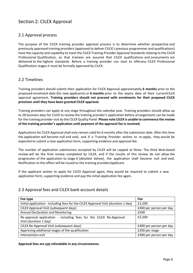# Section 2: CILEX Approval

## 2.1 Approval process

The purpose of the CILEX training provider approval process is to determine whether prospective and previously approved training providers(approved to deliver CILEX's previous programmes and qualifications) have the capacity and capability to meet the CILEX Training Provider Approval Standards relating to the CILEX Professional Qualification, so that trainees are assured that CILEX qualifications and assessments are delivered to the highest standards. Before a training provider can start to offerany CILEX Professional Qualification stages it must be formally approved by CILEX.

## 2.2 Timelines

Training providers should submit their application for CILEX Approval approximately **6 months** prior to the proposed enrolment date (for new applicants) or **6 months** prior to the expiry date of their currentCILEX approval agreement. **Training providers should not proceed with enrolments for their proposed CILEX provision until they have been granted CILEX approval.**

Training providers can apply at any stage throughout the calendar year. Training providers should allow up to 28 business days for CILEX to review the training provider's application before arrangements can be made for the training provider visit by the CILEXQuality Panel. **Please note CILEX is unable to commence the review of the training provider's application until payment of the approval fee is received.**

Applications for CILEX Approval shall only remain valid for 6 months after the submission date. After this time the application will become null and void, and if a Training Provider wishes to re-apply, they would be expected to submit a new application form, supporting evidence and approval fee.

The number of application submissions accepted by CILEX will be capped at three. The third desk-based review will be the final review completed by CILEX, and if the results of this review do not allow the progression of the application to stage 6 (detailed below), the application shall become null and void. Notification to this effect will be issued to the training provider/applicant.

If the applicant wishes to apply for CILEX Approval again, they would be required to submit a new application form, supporting evidence and pay the initial application fee again.

## 2.3 Approval fees and CILEX bank account details

| Fee type                                                                           | Fee                     |
|------------------------------------------------------------------------------------|-------------------------|
| Initial application - including fees for the CILEX Approval Visit (duration 1 day) | £2,200                  |
| CILEX Approval Visit (subsequent days)                                             | £400 per person per day |
| <b>Annual Declaration and Monitoring</b>                                           | £500                    |
| Re-approval application - including fees for the CILEX Re-Approval                 | £2,200                  |
| Visit (duration 1 day)                                                             |                         |
| CILEX Re-Approval Visit (subsequent days)                                          | £400 per person per day |
| Approving additional stages of the qualification                                   | £200 per stage          |
| Intervention visit                                                                 | £400 per person per day |

**Approval fees are not refundable in any circumstances.**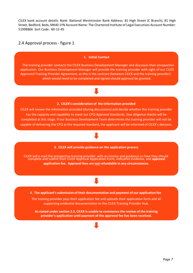CILEX bank account details: Bank: National Westminster Bank Address: 81 High Street (C Branch), 81 High Street, Bedford, Beds, MK40 1YN Account Name: The Chartered Institute of Legal Executives Account Number: 51998866 Sort Code: 60-12-45

## 2.4 Approval process - figure 1

#### **1. Initial Contact**

The training provider contacts the CILEX Business Development Manager and discusses their prospective application. Our Business Development Manager will provide the training provider with sight of our CILEX Approved Training Provider Agreement, as this is the contract (between CILEX and the training provider) which would need to be completed and signed should approval be granted.

## **2. CILEX's consideration of the information provided**

CILEX will review the information provided (during discussions) and decide whether the training provider has the capacity and capability to meet our CPQ Approval Standards. Due diligence checks will be completed at this stage. If our Business Development Team determines the training provider will not be capable of delivering the CPQ at the required standard, the applicant will be informed of CILEX's decision.

#### **3. CILEX will provide guidance on the application process**

CILEX will e-mail the prospective training provider with an invoice and guidance on how they should complete and submit their CILEX Approval Application Form, indicative evidence, and **approval application fee. Approval fees are not refundable in any circumstances.**

**4. The applicant'ssubmission of their documentation and payment of our application fee**

The training provider pays their application fee and uploads their application form and all supporting evidential documentation to the CILEX Training Provider Hub.

**As stated under section 2.2, CILEX is unable to commence the review of the training provider's application until payment of the approval fee has been received.**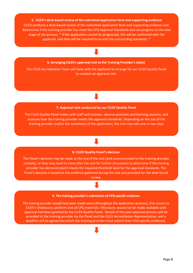**5. CILEX's desk-based review of the submitted application form and supporting evidence** CILEX conducts a desk-based review of the submitted application form and supporting evidence and determines if the training provider has meet the CPQ Approval Standards and can progress to the next stage of the process. \* If the application cannot be progressed, this will be confirmed with the applicant, and they will be required to re-visit the outstanding standards. \*

#### **6. Arranging CILEX's approval visit to the Training Provider's site(s)**

The CILEX Accreditation Team will liaise with the applicant to arrange for our CILEX Quality Panel to conduct an approval visit.

## **7. Approval visit conducted by our CILEX Quality Panel**

The CILEX Quality Panel meets with staff and trainees, observe premises and learning sessions, and assesses how the training provider meets the approval standards. Depending on the size of the training provider and/or the complexity of the application, the visit may take one or two days

## **8. CILEX Quality Panel's decision**

The Panel's decision may be made at the end of the visit (and communicated to the training provider verbally), or they may need to meet after the visit for further discussions to determine if the training provider has demonstrated it meets the required threshold level for the approval standards. The Panel's decision is based on the evidence gathered during the visit and provided for the desk-based review.

## **9. The training provider's submission of CPQ specific evidence**

The training provider would have been made aware (throughout the application process), that access to CILEX's VitalSource platform and all CPQ materials / literature, would not be made available until approval had been granted by the CILEX Quality Panel. Details of this post approval process will be provided to the training provider by the Panel and the CILEX Accreditation Representative, and a deadline will be agreed (by which the training provider must submit their CPQ specific evidence).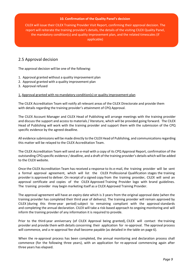#### **10. Confirmation of the Quality Panel's decision**

CILEX will issue their CILEX Training Provider Visit Report, confirming their approval decision. The report will reiterate the training provider's details, the details of the visiting CILEX Quality Panel, the mandatory condition(s) and quality improvement plan, and the related timescales (if applicable)

## 2.5 Approval decision

The approval decision will be one of the following:

- 1. Approval granted without a quality improvement plan
- 2. Approval granted with a quality improvement plan
- 3. Approval refused

## 1. Approval granted with no mandatory condition(s) or quality improvement plan

The CILEX Accreditation Team will notify all relevant areas of the CILEX Directorate and provide them with details regarding the training provider's attainment of CPQ Approval.

The CILEX Account Manager and CILEX Head of Publishing will arrange meetings with the training provider and discuss the support and access to materials / literature, which will be provided going forward. The CILEX Head of Publishing will work with the training provider and support them with the submission of the CPQ specific evidence by the agreed deadline.

All evidence submissions will be made directly to the CILEX Head of Publishing, and communications regarding this matter will be relayed to the CILEX Accreditation Team.

The CILEX Accreditation Team will send an e-mail with a copy of its CPQ Approval Report, confirmation of the outstanding CPQ specific evidence / deadline, and a draft of the training provider's details which will be added to the CILEX website.

Once the CILEX Accreditation Team has received a response to its e-mail, the training provider will be sent a formal approval agreement, which will list the CILEX Professional Qualification stages the training provider is approved to deliver. On receipt of a signed copy from the training provider, CILEX will send an approval certificate and copies of the CILEX Approved Training Provider logo with brand guidelines. The training provider may begin marketing itself as a CILEX Approved Training Provider.

The approval agreement will have an expiry date which is 3 years from the original approval date (when the training provider has completed their third year of delivery). The training provider will remain approved by CILEX (during this three-year period) subject to remaining compliant with the approval standards and completing the annual declaration. CILEX will take a risk-based approach to ongoing monitoring and will inform the training provider of any information it is required to provide.

Prior to the third-year anniversary (of CILEX Approval being granted), CILEX will contact the training provider and provide them with details concerning their application for re-approval. The approval process will commence, and a re-approval fee shall become payable (as detailed in the table on page 6).

When the re-approval process has been completed, the annual monitoring and declaration process shall commence (for the following three years), with an application for re-approval commencing again after three years has elapsed.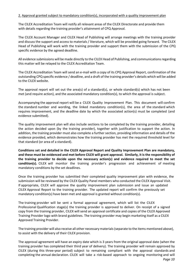## 2. Approval granted subject to mandatory condition(s), incorporated with a quality improvement plan

The CILEX Accreditation Team will notify all relevant areas of the CILEX Directorate and provide them with details regarding the training provider's attainment of CPQ Approval.

The CILEX Account Manager and CILEX Head of Publishing will arrange meetings with the training provider and discuss the support and access to materials / literature, which will be provided going forward. The CILEX Head of Publishing will work with the training provider and support them with the submission of the CPQ specific evidence by the agreed deadline.

All evidence submissions will be made directly to the CILEX Head of Publishing, and communications regarding this matter will be relayed to the CILEX Accreditation Team.

The CILEX Accreditation Team will send an e-mail with a copy of its CPQ Approval Report, confirmation of the outstanding CPQ specific evidence / deadline, and a draft of the training provider's details which will be added to the CILEX website.

The approval report will set out the area(s) of a standard(s), or whole standard(s) which has not been met (and require action), and the associated mandatory condition(s), to which the approval is subject.

Accompanying the approval report will be a CILEX Quality Improvement Plan. This document will confirm the standard number and wording, the linked mandatory condition(s), the area of the standard which requires improvement, and the deadline date by which the associated action(s) must be completed (and evidence submitted).

The quality improvement plan will also include sections to be completed by the training provider, detailing the action decided upon (by the training provider), together with justification to support the action. In addition, the training provider must also complete a further section, providing information and details of the evidence provided, which demonstrates how the training provider has met the required threshold level for that standard (or area of a standard).

**Conditions set and detailed in the CILEX Approval Report and Quality Improvement Plan are mandatory, and these must be evidenced and met before CILEX will grant approval. Similarly, it is the responsibility of the training provider to decide upon the necessary action(s) and evidence required to meet the set condition(s).** CILEX will monitor the training provider's progression and achievement of meeting mandatory conditions by the set deadlines.

Once the training provider has submitted their completed quality improvement plan with evidence, the submission will be reviewed by the CILEX Quality Panel members who conducted the CILEX Approval Visit. If appropriate, CILEX will approve the quality improvement plan submission and issue an updated CILEX Approval Report to the training provider. The updated report will confirm the previously set mandatory condition(s) have been met and approval is granted without condition(s).

The training provider will be sent a formal approval agreement, which will list the CILEX Professional Qualification stage(s) the training provider is approved to deliver. On receipt of a signed copy from the training provider, CILEX will send an approval certificate and copies of the CILEX Approved Training Provider logo with brand guidelines. The training provider may begin marketing itself as a CILEX Approved Training Provider.

The training provider will also receive all other necessary materials(separate to the items mentioned above), to assist with the delivery of their CILEX provision.

The approval agreement will have an expiry date which is 3 years from the original approval date (when the training provider has completed their third year of delivery). The training provider will remain approved by CILEX (during this three-year period) subject to remaining compliant with the approval standards and completing the annual declaration. CILEX will take a risk-based approach to ongoing monitoring and will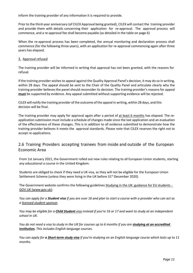inform the training provider of any information it is required to provide.

Prior to the third-year anniversary (of CILEX Approval being granted), CILEX will contact the training provider and provide them with details concerning their application for re-approval. The approval process will commence, and a re-approval fee shall become payable (as detailed in the table on page 6)

When the re-approval process has been completed, the annual monitoring and declaration process shall commence (for the following three years), with an application for re-approval commencing again after three years has elapsed.

## 3. Approval refused

The training provider will be informed in writing that approval has not been granted, with the reasons for refusal.

If the training provider wishes to appeal against the Quality Approval Panel's decision, it may do so in writing, within 28 days. The appeal should be sent to the Chair of the Quality Panel and articulate clearly why the training provider believes the panel should reconsider its decision. The training provider's reasons for appeal **must** be supported by evidence. Any appeal submitted without supporting evidence will be rejected.

CILEX will notify the training provider ofthe outcome ofthe appeal in writing, within 28 days, and this decision will be final.

The training provider may apply for approval again after a period of at least 6 months has elapsed. The reapplication submission must include a schedule of changes made since the last application and an evaluation of the effectiveness of these changes. This is in addition to all evidence submitted to demonstrate how the training provider believes it meets the approval standards. Please note that CILEX reserves the right not to accept re-applications.

## 2.6 Training Providers accepting trainees from inside and outside of the European Economic Area

From 1st January 2021, the Government rolled out new rules relating to all European Union students, starting any educational a course in the United Kingdom.

Students are obliged to check if they need a UK visa, as they will not be eligible for the European Union Settlement Scheme (unless they were living in the UK before 31<sup>st</sup> December 2020).

The Government website confirms the following guideline[s Studying in the UK: guidance for EU students -](https://www.gov.uk/guidance/studying-in-the-uk-guidance-for-eu-students) [GOV.UK \(www.gov.uk\):](https://www.gov.uk/guidance/studying-in-the-uk-guidance-for-eu-students)

*You can apply for a Student visa if you are over 16 and plan to start a course with a provider who can act as a [licensed student sponsor.](https://www.gov.uk/government/publications/register-of-licensed-sponsors-students)*

*You may be eligible for a [Child Student](https://www.gov.uk/child-study-visa) visa instead if you're 16 or 17 and want to study at an independent school in UK.*

*You do not need a visa to study in the UK for courses up to 6 months if you are [studying at an accredited](https://www.gov.uk/visa-to-study-english/your-course)  [institution.](https://www.gov.uk/visa-to-study-english/your-course) This includes English language courses.*

*You can apply for a [Short-term study visa](https://www.gov.uk/study-visit-visa) if you're studying on an English language course which lasts up to 11 months.*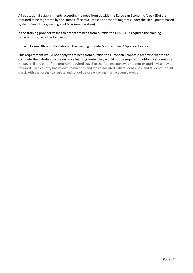All educational establishments accepting trainees from outside the European Economic Area (EEA) are required to be registered by the Home Office as a licensed sponsor of migrants under the Tier 4 points-based system. (See [https://www.gov.uk/vis](http://www.gov.uk/visas-immigration))as-imm[igration\)](http://www.gov.uk/visas-immigration))

If the training provider wishes to accept trainees from outside the EEA, CILEX requires the training provider to provide the following:

• Home Office confirmation of the training provider's current Tier 4 Sponsor Licence

This requirement would not apply to trainees from outside the European Economic Area who wanted to complete their studies via the distance learning route (they would not be required to obtain a student visa). However, if any part of the program required travel to the foreign country, a student or tourist visa may be required. Each country has its own restrictions and fees associated with student visas, and students should check with the foreign consulate and school before enrolling in an academic program.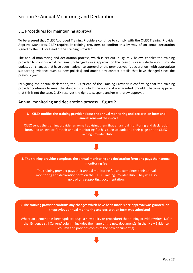# Section 3: Annual Monitoring and Declaration

## 3.1 Procedures for maintaining approval

To be assured that CILEX Approved Training Providers continue to comply with the CILEX Training Provider Approval Standards, CILEX requires its training providers to confirm this by way of an annualdeclaration signed by the CEO or Head of the Training Provider.

The annual monitoring and declaration process, which is set out in Figure 2 below, enables the training provider to confirm what remains unchanged since approval or the previous year's declaration, provide updates on changes that have been made since approval or the previous year's declaration (with appropriate supporting evidence such as new policies) and amend any contact details that have changed since the previous year.

By signing the annual declaration, the CEO/Head of the Training Provider is confirming that the training provider continues to meet the standards on which the approval was granted. Should it become apparent that this is not the case, CILEX reserves the right to suspend and/or withdraw approval.

## Annual monitoring and declaration process – figure 2

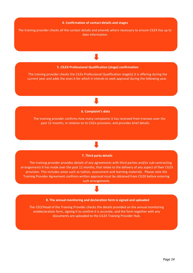#### **4. Confirmation of contact details and stages**

The training provider checks all the contact details and amends where necessary to ensure CILEX has up to date information.

## **5. CILEX Professional Qualification (stage) confirmation**

The training provider checks the CILEx Professional Qualification stage(s) it is offering during the current year and adds the ones it for which it intends to seek approval during the following year.

#### **6. Complaint's data**

The training provider confirms how many complaints it has received from trainees over the past 12 months, in relation to its CILEx provision, and provides brief details.

#### **7. Third party details**

The training provider provides details of any agreements with third parties and/or sub-contracting arrangements it has made over the past 12 months, that relate to the delivery of any aspect of their CILEX provision. This includes areas such as tuition, assessment and learning materials. Please note the Training Provider Agreement confirms written approval must be obtained from CILEX before entering such arrangements.

#### **8. The annual monitoring and declaration form is signed and uploaded**

The CEO/Head of the Training Provider checks the details provided on the annual monitoring anddeclaration form, signing it to confirm it is accurate, and the form together with any documents are uploaded to the CILEX Training Provider Hub.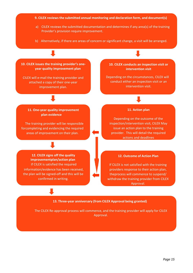**9. CILEX reviews the submitted annual monitoring and declaration form, and document(s)**

- a) CILEX reviews the submitted documentation and determines if any area(s) of the training Provider's provision require improvement.
- b) Alternatively, if there are areas of concern or significant change, a visit will be arranged.

**10. CILEX issues the training provider's oneyear quality improvement plan**

CILEX will e-mail the training provider and attached a copy of their one-year improvement plan.

**10. CILEX conducts an inspection visit or intervention visit**

Depending on the circumstances, CILEX will conduct either an inspection visit or an intervention visit.

#### **11. One-year quality improvement plan evidence**

The training provider will be responsible forcompleting and evidencing the required areas of improvement on their plan.

**11. Action plan**

Depending on the outcome of the inspection/intervention visit, CILEX May issue an action plan to the training provider. This will detail the required actions and deadlines

**12. CILEX signs off the quality improvementplan/action plan** If CILEX is satisfied the required information/evidence has been received, the plan will be signed-off and this will be confirmed in writing.

#### **12. Outcome of Action Plan**

If CILEX is not satisfied with the training providers response to their action plan, theprocess will commence to suspend/ withdraw the training provider from CILEX Approval.

#### **13. Three-year anniversary (from CILEX Approval being granted)**

The CILEX Re-approval process will commence, and the training provider will apply for CILEX Approval.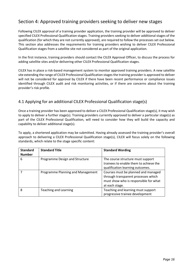# Section 4: Approved training providers seeking to deliver new stages

Following CILEX approval of a training provider application, the training provider will be approved to deliver specified CILEX Professional Qualification stages. Training providers seeking to deliver additional stages of the qualification (for which they are not currently approved), are required to follow the processes set out below. This section also addresses the requirements for training providers wishing to deliver CILEX Professional Qualification stages from a satellite site not considered as part of the original application.

In the first instance, training providers should contact the CILEX Approval Officer, to discuss the process for adding satellite sites and/or delivering other CILEX Professional Qualification stages.

CILEX has in place a risk-based management system to monitor approved training providers. A new satellite site extending the range of CILEX Professional Qualification stagesthe training provider is approved to deliver will not be considered for approval by CILEX if there have been recent performance or compliance issues identified through CILEX audit and risk monitoring activities, or if there are concerns about the training provider's risk profile.

## 4.1 Applying for an additional CILEX Professional Qualification stage(s)

Once a training provider has been approved to deliver a CILEX Professional Qualification stage(s), it may wish to apply to deliver a further stage(s). Training providers currently approved to deliver a particular stage(s) as part of the CILEX Professional Qualification, will need to consider how they will build the capacity and capability to deliver additional stage(s).

To apply, a shortened application may be submitted. Having already assessed the training provider's overall approach to delivering a CILEX Professional Qualification stage(s), CILEX will focus solely on the following standards, which relate to the stage specific content:

| <b>Standard</b><br><b>Number</b> | <b>Standard Title</b>             | <b>Standard Wording</b>                                                                                                               |
|----------------------------------|-----------------------------------|---------------------------------------------------------------------------------------------------------------------------------------|
| 6                                | Programme Design and Structure    | The course structure must support<br>trainees to enable them to achieve the<br>qualification learning outcomes.                       |
|                                  | Programme Planning and Management | Courses must be planned and managed<br>through transparent processes which<br>must show who is responsible for what<br>at each stage. |
| 8                                | <b>Teaching and Learning</b>      | Teaching and learning must support<br>progressive trainee development                                                                 |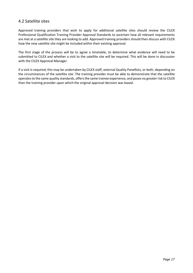## 4.2 Satellite sites

Approved training providers that wish to apply for additional satellite sites should review the CILEX Professional Qualification Training Provider Approval Standards to ascertain how all relevant requirements are met at a satellite site they are looking to add. Approved training providers should then discuss with CILEX how the new satellite site might be included within their existing approval.

The first stage of the process will be to agree a timetable, to determine what evidence will need to be submitted to CILEX and whether a visit to the satellite site will be required. This will be done in discussion with the CILEX Approval Manager.

If a visit is required, this may be undertaken by CILEX staff, external Quality Panellists, or both, depending on the circumstances of the satellite site. The training provider must be able to demonstrate that the satellite operates to the same quality standards, offers the same trainee experience, and poses no greater risk to CILEX than the training provider upon which the original approval decision was based.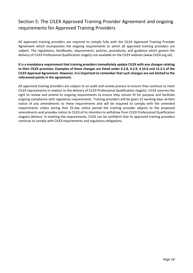# Section 5: The CILEX Approved Training Provider Agreement and ongoing requirements for Approved Training Providers

All approved training providers are required to comply fully with the CILEX Approved Training Provider Agreement which incorporates the ongoing requirements to which all approved training providers are subject. The regulations, handbooks, requirements, policies, procedures, and guidance which govern the delivery of CILEX Professional Qualification stage(s) are available on the CILEX website (www.CILEX.org.uk).

## **It is a mandatory requirement that training providers immediately update CILEX with any changes relating to their CILEX provision. Examples of these changes are listed under 4.2.8, 4.2.9, 4.10.6 and 12.2.5 of the CILEX Approval Agreement. However, it isimportant to remember thatsuch changes are not limited to the referenced points in the agreement.**

All approved training providers are subject to an audit and review process to ensure they continue to meet CILEX requirements in relation to the delivery of CILEX Professional Qualification stage(s). CILEX reserves the right to review and amend its ongoing requirements to ensure they remain fit for purpose and facilitate ongoing compliance with regulatory requirements. Training providers will be given 25 working days written notice of any amendments to these requirements and will be required to comply with the amended requirements unless during that 25-day notice period the training provider objects to the proposed amendments and provides notice to CILEX of its intention to withdraw from CILEX Professional Qualification stage(s) delivery. In meeting the requirements, CILEX can be confident that its approved training providers continue to comply with CILEX requirements and regulatory obligations.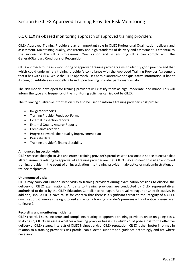# Section 6: CILEX Approved Training Provider Risk Monitoring

## 6.1 CILEX risk-based monitoring approach of approved training providers

CILEX Approved Training Providers play an important role in CILEX Professional Qualification delivery and assessment. Maintaining quality, consistency and high standards of delivery and assessment is essential to the success of the CILEX Professional Qualification and in ensuring CILEX can comply with the General/Standard Conditions of Recognition.

CILEX approach to the risk monitoring of approved training providers aims to identify good practice and that which could undermine a training provider's compliance with the Approved Training Provider Agreement that it has with CILEX. While the CILEX approach uses both quantitative and qualitative information, it has at its core, quantitative risk modelling based upon training provider performance data.

The risk models developed for training providers will classify them as high, moderate, and minor. This will inform the type and frequency of the monitoring activities carried out by CILEX.

The following qualitative information may also be used to inform a training provider's risk profile:

- Invigilator reports
- Training Provider Feedback Forms
- External inspection reports
- External Quality Assurer Reports
- Complaints received
- Progress towards their quality improvement plan
- Pass rate data
- Training provider's financial stability

## **Announced Inspection visits**

CILEX reservesthe right to visit and enter a training provider's premises with reasonable notice to ensure that all requirements relating to approval of a training provider are met. CILEX may also need to visit an approved training provider in the event of an investigation into training provider malpractice or maladministration, or trainee malpractice.

## **Unannounced visits**

CILEX may carry out unannounced visits to training providers during examination sessions to observe the delivery of CILEX examinations. All visits to training providers are conducted by CILEX representatives authorised to do so by the CILEX Education Compliance Manager, Approval Manager or Chief Executive. In addition, should CILEX have cause for concern that there is a significant threat to the integrity of a CILEX qualification, it reserves the right to visit and enter a training provider's premises without notice. Please refer to figure 2.

## **Recording and monitoring incidents**

CILEX records issues, incidents and complaints relating to approved training providers on an on-going basis. In doing so, CILEX can assess whether a training provider has issues which could pose a risk to the effective delivery of CILEX stages, interests of CILEX Trainees and/or CILEX reputation. CILEX is then better informed in relation to a training provider's risk profile, can allocate support and guidance accordingly and act where necessary.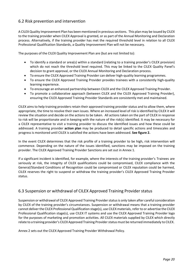## 6.2 Risk prevention and intervention

A CILEX Quality Improvement Plan has been mentioned in previoussections. This plan may be issued by CILEX to the training provider when CILEX Approval is granted, or as part of the Annual Monitoring and Declaration process. Alternatively, if the training provider has met the required threshold level in relation to all CILEX Professional Qualification Standards, a Quality Improvement Plan will not be necessary.

The purposes of the CILEX Quality Improvement Plan are (but are not limited to):

- To identify a standard or area(s) within a standard (relating to a training provider's CILEX provision) which do not reach the threshold level required. This may be linked to the CILEX Quality Panel's decision to grant approval, or the CILEX Annual Monitoring and Declaration process.
- To ensure the CILEX Approved Training Provider can deliver high-quality learning programmes.
- To ensure the CILEX Approved Training Provider provides trainees with a consistently high-quality learning experience.
- To encourage an enhanced partnership between CILEX and the CILEX Approved Training Provider.
- To promote a collaborative approach (between CILEX and the CILEX Approved Training Provider), ensuring the CILEX Approved Training Provider Standards are consistently met and maintained.

CILEX aims to help training providers retain their approved training provider status and to allow them, where appropriate, the time to resolve their own issues. Where an increased level of risk is identified by CILEX it will review the situation and decide on the actions to be taken. All actions taken on the part of CILEX in response to risk will be proportionate and in keeping with the nature of the risk(s) identified. It may be necessary for a CILEX representative to visit a training provider to discuss the identified issues and how these could be addressed. A training provider **action plan** may be produced to detail specific actions and timescales and progress is monitored until CILEX is satisfied the actions have been addressed. **See figure 2.**

In the event CILEX determines that the risk profile of a training provider to be high, risk intervention will commence. Depending on the nature of the issues identified, sanctions may be imposed on the training provider. The CILEX Approved Training Provider Sanctions are set out in Annex 1.

If a significant incident is identified, for example, where the interests of the training provider's Trainees are seriously at risk, the integrity of CILEX qualifications could be compromised, CILEX compliance with the General/Standard Conditions of Recognition could be compromised or CILEX reputation could be harmed, CILEX reserves the right to suspend or withdraw the training provider's CILEX Approved Training Provider status.

## 6.3 Suspension or withdrawal of CILEX Approved Training Provider status

Suspension or withdrawal of CILEX Approved Training Provider status is only taken after careful consideration by CILEX of the training provider's circumstances. Suspension or withdrawal means that a training provider cannot deliverthe CILEX ProfessionalQualification stage(s), use CILEX materials, referto or advertise the CILEX Professional Qualification stage(s), use CILEX IT systems and use the CILEX Approved Training Provider logo for the purposes of marketing and promotion activities. All CILEX materials supplied by CILEX which directly relate to a training provider's CILEX Approved Training Provider status must be returned immediately to CILEX.

Annex 2 sets out the CILEX Approved Training Provider Withdrawal Policy.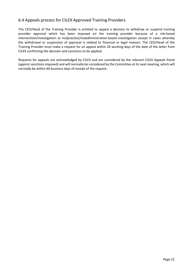## 6.4 Appeals process for CILEX Approved Training Providers

The CEO/Head of the Training Provider is entitled to appeal a decision to withdraw or suspend training provider approval which has been imposed on the training provider because of a risk-based intervention/investigation or malpractice/maladministration-based investigation except in cases whereby the withdrawal or suspension of approval is related to financial or legal reasons. The CEO/Head of the Training Provider must make a request for an appeal within 20 working days of the date of the letter from CILEX confirming the decision and sanctions to be applied.

Requests for appeals are acknowledged by CILEX and are considered by the relevant CILEX Appeals Panel (against sanctions imposed) and will normally be considered by the Committee at its next meeting, which will normally be within 60 business days of receipt of the request.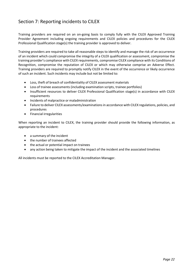# Section 7: Reporting incidents to CILEX

Training providers are required on an on-going basis to comply fully with the CILEX Approved Training Provider Agreement including ongoing requirements and CILEX policies and procedures for the CILEX Professional Qualification stage(s) the training provider is approved to deliver.

Training providers are required to take all reasonable steps to identify and manage the risk of an occurrence of an incident which could compromise the integrity of a CILEX qualification or assessment, compromise the training provider's compliance with CILEX requirements, compromise CILEX compliance with its Conditions of Recognition, compromise the reputation of CILEX or which may otherwise comprise an Adverse Effect. Training providers are required to promptly notify CILEX in the event of the occurrence or likely occurrence of such an incident. Such incidents may include but not be limited to:

- Loss, theft of breach of confidentiality of CILEX assessment materials
- Loss of trainee assessments (including examination scripts, trainee portfolios)
- Insufficient resources to deliver CILEX Professional Qualification stage(s) in accordance with CILEX requirements
- Incidents of malpractice or maladministration
- Failure to deliver CILEX assessments/examinations in accordance with CILEX regulations, policies, and procedures
- Financial irregularities

When reporting an incident to CILEX, the training provider should provide the following information, as appropriate to the incident:

- a summary of the incident
- the number of trainees affected
- the actual or potential impact on trainees
- any action being taken to mitigate the impact of the incident and the associated timelines

All incidents must be reported to the CILEX Accreditation Manager.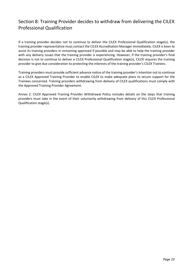# Section 8: Training Provider decides to withdraw from delivering the CILEX Professional Qualification

If a training provider decides not to continue to deliver the CILEX Professional Qualification stage(s), the training provider representative must contact the CILEX Accreditation Manager immediately. CILEX is keen to assist its training providers in remaining approved if possible and may be able to help the training provider with any delivery issues that the training provider is experiencing. However, if the training provider's final decision is not to continue to deliver a CILEX Professional Qualification stage(s), CILEX requires the training provider to give due consideration to protecting the interests of the training provider's CILEX Trainees.

Training providers must provide sufficient advance notice of the training provider's intention not to continue as a CILEX Approved Training Provider to enable CILEX to make adequate plans to secure support for the Trainees concerned. Training providers withdrawing from delivery of CILEX qualifications must comply with the Approved Training Provider Agreement.

Annex 2: CILEX Approved Training Provider Withdrawal Policy includes details on the steps that training providers must take in the event of their voluntarily withdrawing from delivery of this CILEX Professional Qualification stage(s).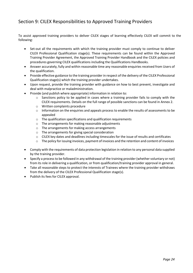# Section 9: CILEX Responsibilities to Approved Training Providers

To assist approved training providers to deliver CILEX stages of learning effectively CILEX will commit to the following:

- Set-out all the requirements with which the training provider must comply to continue to deliver CILEX Professional Qualification stage(s). These requirements can be found within the Approved Training Provider Agreement, the Approved Training Provider Handbook and the CILEX policies and procedures governing CILEX qualifications including the Qualifications Handbooks.
- Answer accurately, fully and within reasonable time any reasonable enquiries received from Users of the qualification.
- Provide effective guidance to the training provider in respect of the delivery of the CILEX Professional Qualification stage(s) which the training provider undertakes.
- Upon request, provide the training provider with guidance on how to best prevent, investigate and deal with malpractice or maladministration.
- Provide (and publish where appropriate) information in relation to:
	- o Sanctions policy to be applied in cases where a training provider fails to comply with the CILEX requirements. Details on the full range of possible sanctions can be found in Annex 2.
	- o Written complaints procedure
	- $\circ$  Information on the enquiries and appeals process to enable the results of assessments to be appealed
	- o The qualification specifications and qualification requirements
	- o The arrangements for making reasonable adjustments
	- o The arrangements for making access arrangements
	- o The arrangements for giving special consideration
	- $\circ$  CILEX key dates and deadlines including timescales for the issue of results and certificates
	- $\circ$  The policy for issuing invoices, payment of invoices and the retention and content of invoices
- Comply with the requirements of data protection legislation in relation to any personal data supplied by the training provider.
- Specify a processto be followed in any withdrawal of the training provider (whether voluntary or not) from its role in delivering a qualification, or from qualification/training provider approval in general.
- Take all reasonable steps to protect the interests of Trainees where the training provider withdraws from the delivery of the CILEX Professional Qualification stage(s).
- Publish its fees for CILEX approval.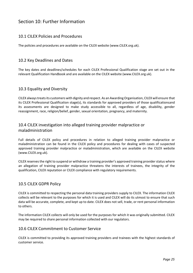# Section 10: Further Information

## 10.1 CILEX Policies and Procedures

The policies and procedures are available on the CILEX website (www.CILEX.org.uk).

## 10.2 Key Deadlines and Dates

The key dates and deadlines/schedules for each CILEX Professional Qualification stage are set out in the relevant Qualification Handbook and are available on the CILEX website (www.CILEX.org.uk).

## 10.3 Equality and Diversity

CILEX alwaystreatsits customers with dignity and respect. As an AwardingOrganisation, CILEX will ensure that its CILEX Professional Qualification stage(s), its standards for approved providers of those qualificationsand its assessments are designed to make study accessible to all, regardless of age, disability, gender reassignment, race, religion/belief, gender, sexual orientation, pregnancy, and maternity.

## 10.4 CILEX investigation into alleged training provider malpractice or maladministration

Full details of CILEX policy and procedures in relation to alleged training provider malpractice or maladministration can be found in the CILEX policy and procedures for dealing with cases of suspected approved training provider malpractice or maladministration, which are available on the CILEX website (www.CILEX.org.uk).

CILEX reserves the right to suspend or withdraw a training provider's approved training provider status where an allegation of training provider malpractice threatens the interests of trainees, the integrity of the qualification, CILEX reputation or CILEX compliance with regulatory requirements.

## 10.5 CILEX GDPR Policy

CILEX is committed to respecting the personal data training providers supply to CILEX. The information CILEX collects will be relevant to the purposes for which it is used and CILEX will do its utmost to ensure that such data will be accurate, complete, and kept up to date. CILEX does not sell, trade, or rent personal information to others.

The information CILEX collects will only be used for the purposes for which it was originally submitted. CILEX may be required to share personal information collected with our regulators.

## 10.6 CILEX Commitment to Customer Service

CILEX is committed to providing its approved training providers and trainees with the highest standards of customer service.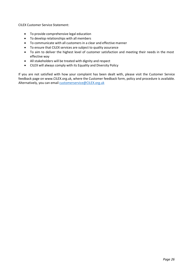CILEX Customer Service Statement:

- To provide comprehensive legal education
- To develop relationships with all members
- To communicate with all customers in a clear and effective manner
- To ensure that CILEX services are subject to quality assurance
- To aim to deliver the highest level of customer satisfaction and meeting their needs in the most effective way
- All stakeholders will be treated with dignity and respect
- CILEX will always comply with its Equality and Diversity Policy

If you are not satisfied with how your complaint has been dealt with, please visit the Customer Service feedback page on [www.CILEX.org.uk, w](http://www.cilex.org.uk/)here the Customer feedback form, policy and procedure is available. Alternatively, you can email **[customerservice@CILEX.org.uk](mailto:customerservice@cilex.org.uk)**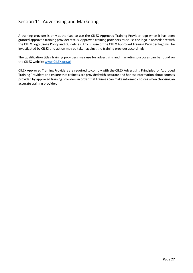# Section 11: Advertising and Marketing

A training provider is only authorised to use the CILEX Approved Training Provider logo when it has been granted approved training provider status. Approved training providers must use the logo in accordance with the CILEX Logo Usage Policy and Guidelines. Any misuse of the CILEX Approved Training Provider logo will be investigated by CILEX and action may be taken against the training provider accordingly.

The qualification titles training providers may use for advertising and marketing purposes can be found on the CILEX website [www.CILEX.org.uk](http://www.cilex.org.uk/)

CILEX Approved Training Providers are required to comply with the CILEX Advertising Principles for Approved Training Providers and ensure that trainees are provided with accurate and honest information about courses provided by approved training providers in order that trainees can make informed choices when choosing an accurate training provider.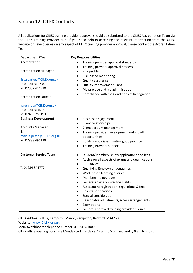# Section 12: CILEX Contacts

All applications for CILEX training provider approval should be submitted to the CILEX Accreditation Team via the CILEX Training Provider Hub. If you need help in accessing the relevant information from the CILEX website or have queries on any aspect of CILEX training provider approval, please contact the Accreditation Team.

| Department/Team                                                                                                                                                                                                                     | <b>Key Responsibilities</b>                                                                                                                                                                                                                                                                                                                                                                                                                                                                                                                                                                                                       |
|-------------------------------------------------------------------------------------------------------------------------------------------------------------------------------------------------------------------------------------|-----------------------------------------------------------------------------------------------------------------------------------------------------------------------------------------------------------------------------------------------------------------------------------------------------------------------------------------------------------------------------------------------------------------------------------------------------------------------------------------------------------------------------------------------------------------------------------------------------------------------------------|
| <b>Accreditation</b><br><b>Accreditation Manager</b><br>E:<br>lisa.sparkes@CILEX.org.uk<br>T: 01234 845734<br>M: 07887 421910<br><b>Accreditation Officer</b><br>E:<br>karen.few@CILEX.org.uk<br>T: 01234 844615<br>M: 07468 753193 | Training provider approval standards<br>$\bullet$<br>Training provider approval process<br>$\bullet$<br>Risk profiling<br>$\bullet$<br>Risk-based monitoring<br>$\bullet$<br>Quality assurance<br>$\bullet$<br><b>Quality Improvement Plans</b><br>$\bullet$<br>Malpractice and maladministration<br>$\bullet$<br>Compliance with the Conditions of Recognition<br>$\bullet$                                                                                                                                                                                                                                                      |
| <b>Business Development</b><br><b>Accounts Manager</b><br>E:<br>martin.petch@CILEX.org.uk<br>M: 07833 496118                                                                                                                        | <b>Business engagement</b><br>$\bullet$<br>Client relationships<br>$\bullet$<br>Client account management<br>$\bullet$<br>Training provider development and growth<br>$\bullet$<br>opportunities<br>Building and disseminating good practice<br>$\bullet$<br><b>Training Provider support</b><br>$\bullet$                                                                                                                                                                                                                                                                                                                        |
| <b>Customer Service Team</b><br>T: 01234 845777                                                                                                                                                                                     | Student/Member/Fellow applications and fees<br>$\bullet$<br>Advice on all aspects of exams and qualifications<br>$\bullet$<br>CPD advice<br>$\bullet$<br><b>Qualifying Employment enquiries</b><br>$\bullet$<br>Work-based learning queries<br>$\bullet$<br>Membership upgrades<br>$\bullet$<br>General advice on Practice Rights<br>$\bullet$<br>Assessment registration, regulations & fees<br>$\bullet$<br><b>Results notifications</b><br>$\bullet$<br>Special consideration<br>$\bullet$<br>Reasonable adjustments/access arrangements<br>$\bullet$<br>Exemptions<br>General approved training provider queries<br>$\bullet$ |

CILEX Address: CILEX, Kempston Manor, Kempston, Bedford, MK42 7AB

Website: [www.CILEX.org.uk](http://www.cilex.org.uk/)

Main switchboard telephone number: 01234 841000

CILEX office opening hours are Monday to Thursday 8.45 am to 5 pm and Friday 9 am to 4 pm.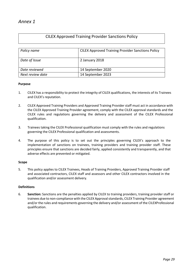## CILEX Approved Training Provider Sanctions Policy

| Policy name      | <b>CILEX Approved Training Provider Sanctions Policy</b> |
|------------------|----------------------------------------------------------|
| Date of Issue    | 2 January 2018                                           |
| Date reviewed    | 14 September 2020                                        |
| Next review date | 14 September 2023                                        |

## **Purpose**

- 1. CILEX has a responsibility to protect the integrity of CILEX qualifications, the interests of its Trainees and CILEX's reputation.
- 2. CILEX Approved Training Providers and Approved Training Provider staff must act in accordance with the CILEX Approved Training Provider agreement, comply with the CILEX approval standards and the CILEX rules and regulations governing the delivery and assessment of the CILEX Professional qualification.
- 3. Trainees taking the CILEX Professional qualification must comply with the rules and regulations governing the CILEX Professional qualification and assessments.
- 4. The purpose of this policy is to set out the principles governing CILEX's approach to the implementation of sanctions on trainees, training providers and training provider staff. These principles ensure that sanctions are decided fairly, applied consistently and transparently, and that adverse effects are prevented or mitigated.

## **Scope**

5. This policy applies to CILEX Trainees, Heads of Training Providers, Approved Training Provider staff and associated contractors, CILEX staff and assessors and other CILEX contractors involved in the qualification and/or assessment delivery.

## **Definitions**

6. **Sanction:** Sanctions are the penalties applied by CILEX to training providers, training provider staff or trainees due to non-compliance with the CILEX Approval standards, CILEX Training Provider agreement and/or the rules and requirements governing the delivery and/or assessment of the CILEXProfessional qualification.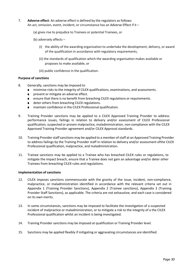- 7. **Adverse effect**: An adverse effect is defined by the regulators as follows: An act, omission, event, incident, or circumstance has an Adverse Effect if it –
	- (a) gives rise to prejudice to Trainees or potential Trainees, or
	- (b) adversely affects
		- (i) the ability of the awarding organisation to undertake the development, delivery, or award of the qualification in accordance with regulatory requirements,
		- (ii) the standards of qualification which the awarding organisation makes available or proposes to make available, or
		- (iii) public confidence in the qualification.

## **Purpose of sanctions**

- 8. Generally, sanctions may be imposed to
	- minimise risks to the integrity of CILEX qualifications, examinations, and assessments.
	- prevent or mitigate an adverse effect.
	- ensure that there is no benefit from breaching CILEX regulations or requirements.
	- deter others from breaching CILEX regulations.
	- maintain confidence in the CILEX Professional qualification.
- 9. Training Provider sanctions may be applied to a CILEX Approved Training Provider to address performance issues, failings in relation to delivery and/or assessment of CILEX Professional qualification, suspected or proven malpractice, maladministration, non-compliance with the CILEX Approved Training Provider agreement and/or CILEX Approval standards.
- 10. Training Provider staff sanctions may be applied to a member of staff at an Approved Training Provider to address failings by the Training Provider staff in relation to delivery and/or assessment ofthe CILEX Professional qualification, malpractice, and maladministration.
- 11. Trainee sanctions may be applied to a Trainee who has breached CILEX rules or regulations, to mitigate the impact breach, ensure that a Trainee does not gain an advantage and/or deter other Trainees from breaching CILEX rules and regulations.

#### **Implementation of sanctions**

- 12. CILEX imposes sanctions commensurate with the gravity of the issue, incident, non-compliance, malpractice, or maladministration identified in accordance with the relevant criteria set out in Appendix 1 (Training Provider Sanctions), Appendix 2 (Trainee sanctions), Appendix 3 (Training Provider Staff Sanctions), as applicable. The criteria are not exhaustive, and each case is considered on its own merits.
- 13. In some circumstances, sanctions may be imposed to facilitate the investigation of a suspected incident of malpractice or maladministration, or to mitigate a risk to the integrity of a the CILEX Professional qualification whilst an incident is being investigated.
- 14. Training Provider sanctions may be imposed at qualification or Training Provider level.
- 15. Sanctions may be applied flexibly if mitigating or aggravating circumstances are identified.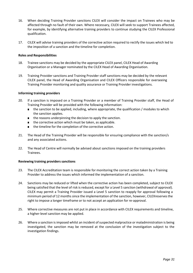- 16. When deciding Training Provider sanctions CILEX will consider the impact on Trainees who may be affected through no fault of their own. Where necessary, CILEX will seek to support Trainees affected, for example, by identifying alternative training providers to continue studying the CILEX Professional qualification.
- 17. CILEX will advise training providers of the corrective action required to rectify the issues which led to the imposition of a sanction and the timeline for completion.

## **Roles and Responsibilities**

- 18. Trainee sanctions may be decided by the appropriate CILEX panel, CILEX Head of Awarding Organisation or a Manager nominated by the CILEX Head of Awarding Organisation.
- 19. Training Provider sanctions and Training Provider staff sanctions may be decided by the relevant CILEX panel, the Head of Awarding Organisation and CILEX Officers responsible for overseeing Training Provider monitoring and quality assurance or Training Provider investigations.

## **Informing training providers**

- 20. If a sanction is imposed on a Training Provider or a member of Training Provider staff, the Head of Training Provider will be provided with the following information:
	- the sanction to be applied, including, where appropriate, the qualification / modules to which the sanction applies.
	- the reasons underpinning the decision to apply the sanction.
	- the corrective action which must be taken, as applicable.
	- the timeline for the completion of the corrective action.
- 21. The Head of the Training Provider will be responsible for ensuring compliance with the sanction/s and any associated actions.
- 22. The Head of Centre will normally be advised about sanctions imposed on the training providers Trainees.

## **Reviewing training providerssanctions**

- 23. The CILEX Accreditation team is responsible for monitoring the correct action taken by a Training Provider to address the issues which informed the implementation of a sanction.
- 24. Sanctions may be reduced or lifted when the corrective action has been completed, subject to CILEX being satisfied that the level of risk is reduced, except for a Level 5 sanction (withdrawal of approval). CILEX may permit a Training Provider issued a Level 5 sanction to reapply for approval following a minimum period of 12 months since the implementation of the sanction, however, CILEXreservesthe right to impose a longer timeframe or to not accept an application for re-approval.
- 25. Where corrective measures are not put in place in accordance with CILEX requirements and timeline, a higher-level sanction may be applied.
- 26. Where a sanction is imposed whilst an incident of suspected malpractice or maladministration is being investigated, the sanction may be removed at the conclusion of the investigation subject to the investigation findings.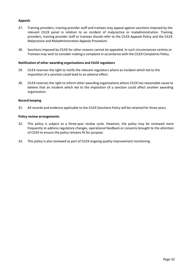## **Appeals**

- 27. Training providers, training provider staff and trainees may appeal against sanctions imposed by the relevant CILEX panel in relation to an incident of malpractice or maladministration. Training providers, training provider staff or trainees should refer to the CILEX Appeals Policy and the CILEX Malpractice and Maladministration Appeals Procedure.
- 28. Sanctions imposed by CILEX for other reasons cannot be appealed. In such circumstances centres or Trainees may wish to consider making a complaint in accordance with the CILEX Complaints Policy.

#### **Notification of other awarding organisations and CILEX regulators**

- 29. CILEX reserves the right to notify the relevant regulators where an incident which led to the imposition of a sanction could lead to an adverse effect.
- 30. CILEX reserves the right to inform other awarding organisations where CILEX has reasonable cause to believe that an incident which led to the imposition of a sanction could affect another awarding organisation.

## **Record keeping**

31. All records and evidence applicable to the CILEX Sanctions Policy will be retained for three years.

#### **Policy review arrangements**

- 32. This policy is subject to a three-year review cycle. However, the policy may be reviewed more frequently to address regulatory changes, operational feedback or concerns brought to the attention of CILEX to ensure the policy remains fit for purpose.
- 33. This policy is also reviewed as part of CILEX ongoing quality improvement monitoring.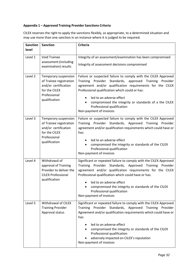## **Appendix 1 – Approved Training Provider Sanctions Criteria**

CILEX reserves the right to apply the sanctions flexibly, as appropriate, to a determined situation and may use more than one sanction in an instance where it is judged to be required.

| <b>Sanction</b><br>level | <b>Sanction</b>                                                                                                           | <b>Criteria</b>                                                                                                                                                                                                                                                                                                                                                                                                 |
|--------------------------|---------------------------------------------------------------------------------------------------------------------------|-----------------------------------------------------------------------------------------------------------------------------------------------------------------------------------------------------------------------------------------------------------------------------------------------------------------------------------------------------------------------------------------------------------------|
| Level 1                  | <b>Void Trainee</b><br>assessment (including<br>examination) results                                                      | Integrity of an assessment/examination has been compromised<br>Integrity of assessment decisions compromised                                                                                                                                                                                                                                                                                                    |
| Level 2                  | Temporary suspension<br>of Trainee registration<br>and/or certification<br>for the CILEX<br>Professional<br>qualification | Failure or suspected failure to comply with the CILEX Approved<br>Provider Standards,<br>approved<br>Training Provider<br>Training<br>agreement and/or qualification requirements for the CILEX<br>Professional qualification which could or has:<br>led to an adverse effect<br>$\bullet$<br>compromised the integrity or standards of a the CILEX<br>Professional qualification<br>Non-payment of invoices    |
| Level 3                  | Temporary suspension<br>of Trainee registration<br>and/or certification<br>for the CILEX<br>Professional<br>qualification | Failure or suspected failure to comply with the CILEX Approved<br>Training Provider Standards, Approved Training Provider<br>agreement and/or qualification requirements which could have or<br>has:<br>led to an adverse effect<br>compromised the integrity or standards of the CILEX<br>Professional qualification<br>Non-payment of invoices                                                                |
| Level 4                  | Withdrawal of<br>approval of Training<br>Provider to deliver the<br><b>CILEX Professional</b><br>qualification            | Significant or repeated failure to comply with the CILEX Approved<br>Training Provider Standards, Approved Training Provider<br>agreement and/or qualification requirements for the CILEX<br>Professional qualification which could have or has:<br>led to an adverse effect<br>compromised the integrity or standards of the CILEX<br>Professional qualification<br>Non-payment of invoices                    |
| Level 5                  | <b>Withdrawal of CILEX</b><br><b>Training Provider</b><br>Approval status                                                 | Significant or repeated failure to comply with the CILEX Approved<br>Provider Standards, Approved<br>Training<br><b>Training</b><br>Provider<br>Agreement and/or qualification requirements which could have or<br>has:<br>led to an adverse effect<br>compromised the integrity or standards of the CILEX<br>Professional qualification<br>adversely impacted on CILEX's reputation<br>Non-payment of invoices |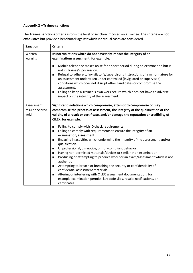## **Appendix 2 – Trainee sanctions**

The Trainee sanctions criteria inform the level of sanction imposed on a Trainee. The criteria are **not exhaustive** but provide a benchmark against which individual cases are considered.

| <b>Sanction</b>                       | <b>Criteria</b>                                                                                                                                                                                                                                                                                                                                                                                                                                                                                                            |  |
|---------------------------------------|----------------------------------------------------------------------------------------------------------------------------------------------------------------------------------------------------------------------------------------------------------------------------------------------------------------------------------------------------------------------------------------------------------------------------------------------------------------------------------------------------------------------------|--|
| Written                               | Minor violations which do not adversely impact the integrity of an                                                                                                                                                                                                                                                                                                                                                                                                                                                         |  |
| warning                               | examination/assessment, for example:                                                                                                                                                                                                                                                                                                                                                                                                                                                                                       |  |
|                                       | Mobile telephone makes noise for a short period during an examination but is<br>$\blacksquare$<br>not in Trainee's possession.<br>Refusal to adhere to invigilator's/supervisor's instructions of a minor nature for<br>п<br>an assessment undertaken under controlled (invigilated or supervised)<br>conditions which does not disrupt other candidates or compromise the<br>assessment.<br>Failing to keep a Trainee's own work secure which does not have an adverse<br>п<br>impact on the integrity of the assessment. |  |
| Assessment<br>result declared<br>void | Significant violations which compromise, attempt to compromise or may<br>compromise the process of assessment, the integrity of the qualification or the<br>validity of a result or certificate, and/or damage the reputation or credibility of<br>CILEX, for example:                                                                                                                                                                                                                                                     |  |
|                                       | Failing to comply with ID check requirements<br>п                                                                                                                                                                                                                                                                                                                                                                                                                                                                          |  |
|                                       | Failing to comply with requirements to ensure the integrity of an<br>п<br>examination/assessment                                                                                                                                                                                                                                                                                                                                                                                                                           |  |
|                                       | Engaging in activities which undermine the integrity of the assessment and/or<br>п<br>qualification.                                                                                                                                                                                                                                                                                                                                                                                                                       |  |
|                                       | Unprofessional, disruptive, or non-compliant behavior<br>$\blacksquare$                                                                                                                                                                                                                                                                                                                                                                                                                                                    |  |
|                                       | Having non-permitted materials/devices or similar in an examination<br>$\blacksquare$                                                                                                                                                                                                                                                                                                                                                                                                                                      |  |
|                                       | Producing or attempting to produce work for an exam/assessment which is not<br>п<br>authentic                                                                                                                                                                                                                                                                                                                                                                                                                              |  |
|                                       | Attempting to breach or breaching the security or confidentiality of<br>п<br>confidential assessment materials                                                                                                                                                                                                                                                                                                                                                                                                             |  |
|                                       | Altering or interfering with CILEX assessment documentation, for<br>п                                                                                                                                                                                                                                                                                                                                                                                                                                                      |  |
|                                       | example, examination permits, key code slips, results notifications, or<br>certificates.                                                                                                                                                                                                                                                                                                                                                                                                                                   |  |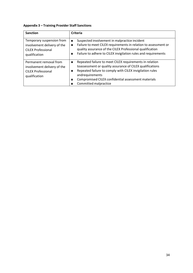## **Appendix 3 – Training Provider Staff Sanctions**

| <b>Sanction</b>                                                                                        | <b>Criteria</b>                                                                                                                                                                                                                                                                                       |
|--------------------------------------------------------------------------------------------------------|-------------------------------------------------------------------------------------------------------------------------------------------------------------------------------------------------------------------------------------------------------------------------------------------------------|
| Temporary suspension from<br>involvement delivery of the<br><b>CILEX Professional</b><br>qualification | Suspected involvement in malpractice incident<br>$\blacksquare$<br>Failure to meet CILEX requirements in relation to assessment or<br>quality assurance of the CILEX Professional qualification<br>Failure to adhere to CILEX invigilation rules and requirements                                     |
| Permanent removal from<br>involvement delivery of the<br><b>CILEX Professional</b><br>qualification    | Repeated failure to meet CILEX requirements in relation<br>$\blacksquare$<br>toassessment or quality assurance of CILEX qualifications<br>Repeated failure to comply with CILEX invigilation rules<br>andrequirements<br>Compromised CILEX confidential assessment materials<br>Committed malpractice |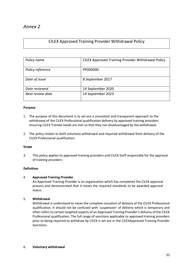## CILEX Approved Training Provider Withdrawal Policy

| Policy name      | <b>CILEX Approved Training Provider Withdrawal Policy</b> |
|------------------|-----------------------------------------------------------|
| Policy reference | PP000000                                                  |
| Date of Issue    | 8 September 2017                                          |
| Date reviewed    | 14 September 2020                                         |
| Next review date | 14 September 2023                                         |

## **Purpose**

- 1. The purpose of this document is to set out a consistent and transparent approach to the withdrawal of the CILEX Professional qualification delivery by approved training providers ensuring CILEX Trainee needs are met so that they not disadvantaged by the withdrawal.
- 2. The policy relates to both voluntary withdrawal and required withdrawal from delivery of the CILEX Professional qualification.

## **Scope**

3. This policy applies to approved training providers and CILEX Staff responsible for the approval of training providers.

## **Definition**

## 4. **Approved Training Provider**

An Approved Training Provider is an organisation which has completed the CILEX approval process and demonstrated that it meets the required standards to be awarded approval status.

## 5. **Withdrawal**

Withdrawal is understood to mean the complete cessation of delivery of the CILEX Professional qualification. It should not be confused with 'suspension' of delivery which is temporary and often refers to certain targeted aspects of an Approved Training Provider's delivery of the CILEX Professional qualification. The full range of sanctions applicable to approved training providers prior to being required to withdraw by CILEX is set out in the CILEXApproved Training Provider Sanctions.

## 6. **Voluntary withdrawal**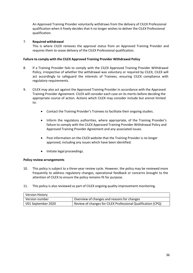An Approved Training Provider voluntarily withdraws from the delivery of CILEX Professional qualification when it freely decides that it no longer wishes to deliver the CILEX Professional qualification.

## 7. **Required withdrawal**

This is where CILEX removes the approval status from an Approved Training Provider and requires them to cease delivery of the CILEX Professional qualification.

## **Failure to comply with the CILEX Approved Training Provider Withdrawal Policy**

- 8. If a Training Provider fails to comply with the CILEX Approved Training Provider Withdrawal Policy, irrespective of whether the withdrawal was voluntary or required by CILEX, CILEX will act accordingly to safeguard the interests of Trainees, ensuring CILEX compliance with regulatory requirements.
- 9. CILEX may also act against the Approved Training Provider in accordance with the Approved Training Provider Agreement. CILEX will consider each case on its merits before deciding the appropriate course of action. Actions which CILEX may consider include but arenot limited to:
	- Contact the Training Provider's Trainees to facilitate their ongoing studies.
	- Inform the regulatory authorities, where appropriate, of the Training Provider's failure to comply with the CILEX Approved Training Provider Withdrawal Policy and Approved Training Provider Agreement and any associated issues.
	- Post information on the CILEX website that the Training Provider is no longer approved, including any issues which have been identified.
	- Initiate legal proceedings.

## **Policy review arrangements**

- 10. This policy is subject to a three-year review cycle. However, the policy may be reviewed more frequently to address regulatory changes, operational feedback or concerns brought to the attention of CILEX to ensure the policy remains fit for purpose.
- 11. This policy is also reviewed as part of CILEX ongoing quality improvement monitoring.

| Version History    |                                                              |
|--------------------|--------------------------------------------------------------|
| Version number     | Overview of changes and reasons for changes                  |
| V01 September 2020 | Review of changes for CILEX Professional Qualification (CPQ) |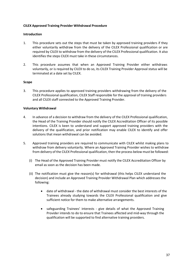## **CILEX Approved Training Provider Withdrawal Procedure**

## **Introduction**

- 1. This procedure sets out the steps that must be taken by approved training providers if they either voluntarily withdraw from the delivery of the CILEX Professional qualification or are required by CILEX to withdraw from the delivery of the CILEX Professional qualification. It also identifies the steps CILEX must take in these circumstances.
- 2. This procedure assumes that when an Approved Training Provider either withdraws voluntarily, or is required by CILEX to do so, its CILEX Training Provider Approval status will be terminated at a date set by CILEX.

## **Scope**

3. This procedure applies to approved training providers withdrawing from the delivery of the CILEX Professional qualification, CILEX Staff responsible for the approval of training providers and all CILEX staff connected to the Approved Training Provider.

## **Voluntary Withdrawal**

- 4. In advance of a decision to withdraw from the delivery of the CILEX Professional qualification, the Head of the Training Provider should notify the CILEX Accreditation Officer of its possible intentions. CILEX is keen to understand and support approved training providers with the delivery of the qualification, and prior notification may enable CILEX to identify and offer solutions that mean withdrawal can be avoided.
- 5. Approved training providers are required to communicate with CILEX whilst making plans to withdraw from delivery voluntarily. Where an Approved Training Provider wishes to withdraw from delivery of the CILEX Professional qualification, then the process below must be followed:
	- (i) The Head of the Approved Training Provider must notify the CILEX Accreditation Officer by email as soon as the decision has been made.
	- (ii) The notification must give the reason(s) for withdrawal (this helps CILEX understand the decision) and include an Approved Training Provider Withdrawal Plan which addresses the following:
		- date of withdrawal the date of withdrawal must consider the best interests of the Trainees already studying towards the CILEX Professional qualification and give sufficient notice for them to make alternative arrangements.
		- safeguarding Trainees' interests give details of what the Approved Training Provider intends to do to ensure that Trainees affected and mid-way through the qualification will be supported to find alternative training providers.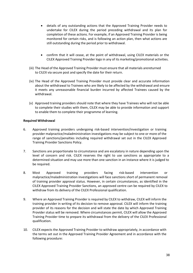- details of any outstanding actions that the Approved Training Provider needs to undertake for CILEX during the period preceding withdrawal and its plan for completion of these actions. For example, if an Approved Training Provider is being monitored for certain risks, and is following an action plan, then what actions are still outstanding during the period prior to withdrawal.
- confirm that it will cease, at the point of withdrawal, using CILEX materials or the CILEX Approved Training Provider logo in any of its marketing/promotional activities.
- (iii) The Head of the Approved Training Provider must ensure that all materials arereturned to CILEX via secure post and specify the date for their return.
- (iv) The Head of the Approved Training Provider must provide clear and accurate information about the withdrawal to Trainees who are likely to be affected by the withdrawal and ensure it meets any unreasonable financial burden incurred by affected Trainees caused by the withdrawal.
- (v) Approved training providers should note that where they have Trainees who will not be able to complete their studies with them, CILEX may be able to provide information and support to enable them to complete their programme of learning.

## **Required Withdrawal**

- 6. Approved training providers undergoing risk-based intervention/investigation or training provider malpractice/maladministration investigations may be subject to one or more of the range of sanctions/penalties including required withdrawal set out in the CILEX Approved Training Provider Sanctions Policy.
- 7. Sanctions are proportionate to circumstance and are escalatory in nature depending upon the level of concern and risk. CILEX reserves the right to use sanctions as appropriate to a determined situation and may use more than one sanction in an instance where it is judged to be required.
- 8. Most Approved training providers facing risk-based intervention or malpractice/maladministration investigations will face sanctions short of permanent removal of training provider approval status. However, in certain circumstances, as identified in the CILEX Approved Training Provider Sanctions, an approved centre can be required by CILEX to withdraw from its delivery of the CILEX Professional qualification.
- 9. Where an Approved Training Provider is required by CILEX to withdraw, CILEX will inform the training provider in writing of its decision to remove approval. CILEX will inform the training provider of its reasons for the decision and will state the date by which Approved Training Provider status will be removed. Where circumstances permit, CILEX will allow the Approved Training Provider time to prepare its withdrawal from the delivery of the CILEX Professional qualification.
- 10. CILEX expects the Approved Training Provider to withdraw appropriately, in accordance with the terms set out in the Approved Training Provider Agreement and in accordance with the following procedure: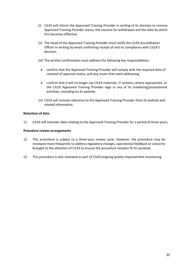- (i) CILEX will inform the Approved Training Provider in writing of its decision to remove Approved Training Provider status, the reasons for withdrawal and the date by which this becomes effective.
- (ii) The Head of the Approved Training Provider must notify the CILEX Accreditation Officer in writing by email confirming receipt of and its compliance with CILEX's decision.
- (iii) The written confirmation must address the following key responsibilities:
	- confirm that the Approved Training Provider will comply with the required date of removal of approval status, and any issues that need addressing.
	- confirm that it will no longer use CILEX materials, IT systems, where appropriate, or the CILEX Approved Training Provider logo in any of its marketing/promotional activities, including on its website.
- (iv) CILEX will remove reference to the Approved Training Provider from its website and related information.

## **Retention of data**

11. CILEX will maintain data relating to the Approved Training Provider for a period of three years.

## **Procedure review arrangements**

- 12. This procedure is subject to a three-year review cycle. However, the procedure may be reviewed more frequently to address regulatory changes, operational feedback or concerns brought to the attention of CILEX to ensure the procedure remains fit for purpose.
- 13. This procedure is also reviewed as part of CILEX ongoing quality improvement monitoring.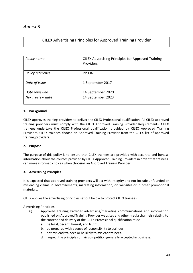# CILEX Advertising Principles for Approved Training Provider

| Policy name      | <b>CILEX Advertising Principles for Approved Training</b><br>Providers |
|------------------|------------------------------------------------------------------------|
| Policy reference | PP0041                                                                 |
| Date of Issue    | 1 September 2017                                                       |
| Date reviewed    | 14 September 2020                                                      |
| Next review date | 14 September 2023                                                      |

## **1. Background**

CILEX approves training providers to deliver the CILEX Professional qualification. All CILEX approved training providers must comply with the CILEX Approved Training Provider Requirements. CILEX trainees undertake the CILEX Professional qualification provided by CILEX Approved Training Providers. CILEX trainees choose an Approved Training Provider from the CILEX list of approved training providers.

## **2. Purpose**

The purpose of this policy is to ensure that CILEX trainees are provided with accurate and honest information about the courses provided by CILEX Approved Training Providers in order that trainees can make informed choices when choosing an Approved Training Provider.

## **3. Advertising Principles**

It is expected that approved training providers will act with integrity and not include unfounded or misleading claims in advertisements, marketing information, on websites or in other promotional materials.

CILEX applies the advertising principles set out below to protect CILEX trainees.

Advertising Principles:

- (i) Approved Training Provider advertising/marketing communications and information published on Approved Training Provider websites and other media channels relating to the content and delivery of the CILEX Professional qualification must
	- a. be legal, decent, honest, and truthful.
	- b. be prepared with a sense of responsibility to trainees.
	- c. not mislead trainees or be likely to mislead trainees.
	- d. respect the principles of fair competition generally accepted in business.